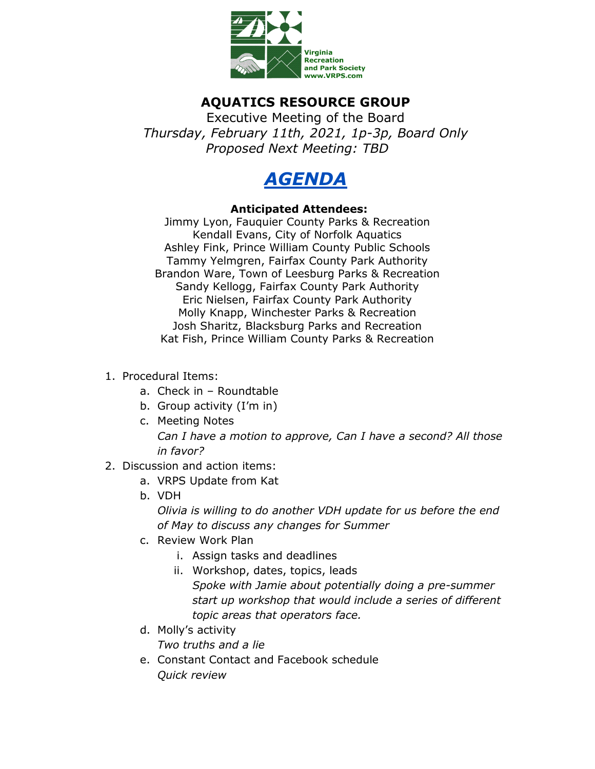

## **AQUATICS RESOURCE GROUP**

Executive Meeting of the Board *Thursday, February 11th, 2021, 1p-3p, Board Only Proposed Next Meeting: TBD*



## **Anticipated Attendees:**

Jimmy Lyon, Fauquier County Parks & Recreation Kendall Evans, City of Norfolk Aquatics Ashley Fink, Prince William County Public Schools Tammy Yelmgren, Fairfax County Park Authority Brandon Ware, Town of Leesburg Parks & Recreation Sandy Kellogg, Fairfax County Park Authority Eric Nielsen, Fairfax County Park Authority Molly Knapp, Winchester Parks & Recreation Josh Sharitz, Blacksburg Parks and Recreation Kat Fish, Prince William County Parks & Recreation

- 1. Procedural Items:
	- a. Check in Roundtable
	- b. Group activity (I'm in)
	- c. Meeting Notes *Can I have a motion to approve, Can I have a second? All those in favor?*
- 2. Discussion and action items:
	- a. VRPS Update from Kat
	- b. VDH

*Olivia is willing to do another VDH update for us before the end of May to discuss any changes for Summer* 

- c. Review Work Plan
	- i. Assign tasks and deadlines
	- ii. Workshop, dates, topics, leads *Spoke with Jamie about potentially doing a pre-summer start up workshop that would include a series of different topic areas that operators face.*
- d. Molly's activity *Two truths and a lie*
- e. Constant Contact and Facebook schedule *Quick review*